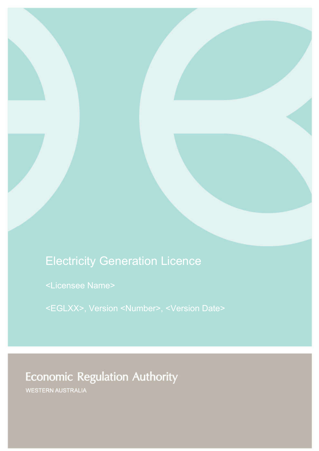# Electricity Generation Licence

<Licensee Name>

<EGLXX>, Version <Number>, <Version Date>

# **Economic Regulation Authority**

WESTERN AUSTRALIA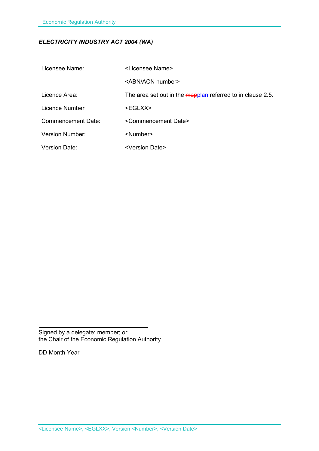### *ELECTRICITY INDUSTRY ACT 2004 (WA)*

| Licensee Name:            | <licensee name=""></licensee>                              |
|---------------------------|------------------------------------------------------------|
|                           | <abn acn="" number=""></abn>                               |
| Licence Area:             | The area set out in the mapplan referred to in clause 2.5. |
| Licence Number            | <eglxx></eglxx>                                            |
| <b>Commencement Date:</b> | <commencement date=""></commencement>                      |
| <b>Version Number:</b>    | <number></number>                                          |
| <b>Version Date:</b>      | <version date=""></version>                                |

Signed by a delegate; member; or the Chair of the Economic Regulation Authority

DD Month Year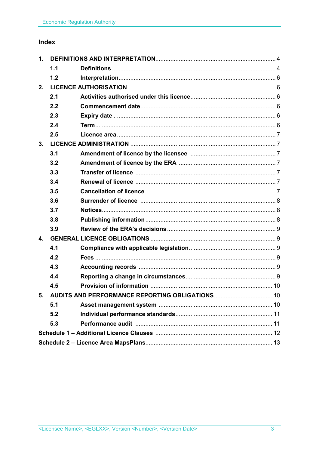### Index

| 1 <sub>1</sub> |     |                                                    |  |
|----------------|-----|----------------------------------------------------|--|
|                | 1.1 |                                                    |  |
|                | 1.2 |                                                    |  |
| 2.             |     |                                                    |  |
|                | 2.1 |                                                    |  |
|                | 2.2 |                                                    |  |
|                | 2.3 |                                                    |  |
|                | 2.4 |                                                    |  |
|                | 2.5 |                                                    |  |
| 3.             |     |                                                    |  |
|                | 3.1 |                                                    |  |
|                | 3.2 |                                                    |  |
|                | 3.3 |                                                    |  |
|                | 3.4 |                                                    |  |
|                | 3.5 |                                                    |  |
|                | 3.6 |                                                    |  |
|                | 3.7 |                                                    |  |
|                | 3.8 |                                                    |  |
|                | 3.9 |                                                    |  |
| $\mathbf{4}$ . |     |                                                    |  |
|                | 4.1 |                                                    |  |
|                | 4.2 |                                                    |  |
|                | 4.3 |                                                    |  |
|                | 4.4 |                                                    |  |
|                | 4.5 |                                                    |  |
|                |     | 5. AUDITS AND PERFORMANCE REPORTING OBLIGATIONS 10 |  |
|                | 5.1 |                                                    |  |
|                | 5.2 |                                                    |  |
|                | 5.3 |                                                    |  |
|                |     |                                                    |  |
|                |     |                                                    |  |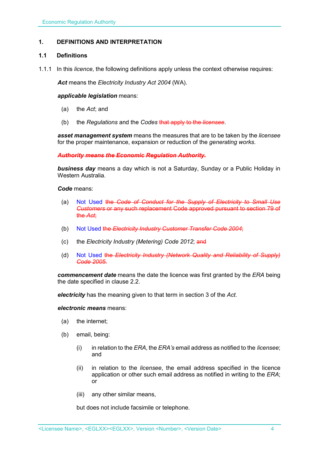#### **1. DEFINITIONS AND INTERPRETATION**

#### **1.1 Definitions**

1.1.1 In this *licence*, the following definitions apply unless the context otherwise requires:

*Act* means the *Electricity Industry Act 2004* (WA).

#### *applicable legislation* means:

- (a) the *Act*; and
- (b) the *Regulations* and the *Codes* that apply to the *licensee*.

*asset management system* means the measures that are to be taken by the *licensee* for the proper maintenance, expansion or reduction of the *generating works*.

*Authority means the Economic Regulation Authority.*

*business day* means a day which is not a Saturday, Sunday or a Public Holiday in Western Australia.

#### *Code* means:

- (a) Not Used the *Code of Conduct for the Supply of Electricity to Small Use Customers* or any such replacement Code approved pursuant to section 79 of the *Act*;
- (b) Not Used the *Electricity Industry Customer Transfer Code 2004*;
- (c) the *Electricity Industry (Metering) Code 2012*; and
- (d) Not Used the *Electricity Industry (Network Quality and Reliability of Supply) Code 2005*.

*commencement date* means the date the licence was first granted by the *ERA* being the date specified in clause 2.2.

*electricity* has the meaning given to that term in section 3 of the *Act*.

#### *electronic means* means:

- (a) the internet;
- (b) email, being:
	- (i) in relation to the *ERA*, the *ERA's* email address as notified to the *licensee*; and
	- (ii) in relation to the *licensee*, the email address specified in the licence application or other such email address as notified in writing to the *ERA*; or
	- (iii) any other similar means,

but does not include facsimile or telephone.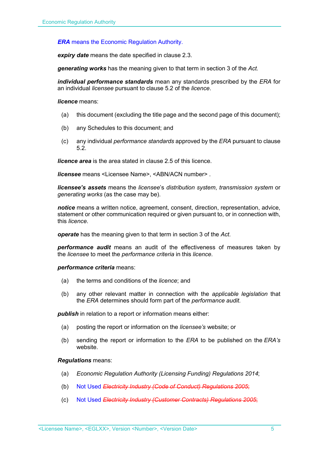*ERA* means the Economic Regulation Authority.

*expiry date* means the date specified in clause 2.3.

*generating works* has the meaning given to that term in section 3 of the *Act.*

*individual performance standards* mean any standards prescribed by the *ERA* for an individual *licensee* pursuant to clause 5.2 of the *licence*.

*licence* means:

- (a) this document (excluding the title page and the second page of this document);
- (b) any Schedules to this document; and
- (c) any individual *performance standards* approved by the *ERA* pursuant to clause 5.2.

*licence area* is the area stated in clause 2.5 of this licence.

*licensee* means <Licensee Name>, <ABN/ACN number> .

*licensee's assets* means the *licensee*'s *distribution system*, *transmission system* or *generating works* (as the case may be).

*notice* means a written notice, agreement, consent, direction, representation, advice, statement or other communication required or given pursuant to, or in connection with, this *licence*.

*operate* has the meaning given to that term in section 3 of the *Act*.

*performance audit* means an audit of the effectiveness of measures taken by the *licensee* to meet the *performance criteria* in this *licence*.

*performance criteria* means:

- (a) the terms and conditions of the *licence*; and
- (b) any other relevant matter in connection with the *applicable legislation* that the *ERA* determines should form part of the *performance audit*.

**publish** in relation to a report or information means either:

- (a) posting the report or information on the *licensee's* website; or
- (b) sending the report or information to the *ERA* to be published on the *ERA's* website.

#### *Regulations* means:

- (a) *Economic Regulation Authority (Licensing Funding) Regulations 2014*;
- (b) Not Used *Electricity Industry (Code of Conduct) Regulations 2005*;
- (c) Not Used *Electricity Industry (Customer Contracts) Regulations 2005*;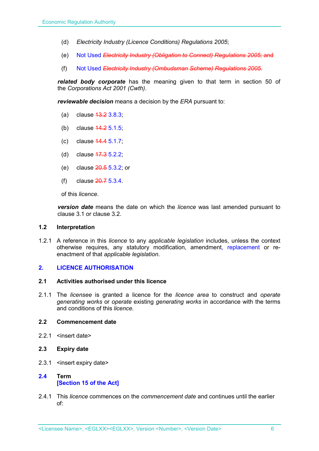- (d) *Electricity Industry (Licence Conditions) Regulations 2005*;
- (e) Not Used *Electricity Industry (Obligation to Connect) Regulations 2005*; and
- (f) Not Used *Electricity Industry (Ombudsman Scheme) Regulations 2005.*

*related body corporate* has the meaning given to that term in section 50 of the *Corporations Act 2001 (Cwth)*.

*reviewable decision* means a decision by the *ERA* pursuant to:

- (a) clause 13.2 3.8.3;
- (b) clause 14.2 5.1.5;
- (c) clause 14.4 5.1.7;
- (d) clause 17.3 5.2.2;
- (e) clause 20.5 5.3.2; or
- (f) clause 20.7 5.3.4.

of this *licence*.

*version date* means the date on which the *licence* was last amended pursuant to clause 3.1 or clause 3.2.

#### **1.2 Interpretation**

1.2.1 A reference in this *licence* to any *applicable legislation* includes, unless the context otherwise requires, any statutory modification, amendment, replacement or reenactment of that *applicable legislation*.

#### **2. LICENCE AUTHORISATION**

#### **2.1 Activities authorised under this licence**

2.1.1 The *licensee* is granted a licence for the *licence area* to construct and *operate generating works* or *operate* existing *generating works* in accordance with the terms and conditions of this *licence*.

#### **2.2 Commencement date**

- 2.2.1 <insert date>
- **2.3 Expiry date**
- 2.3.1 <insert expiry date>

### **2.4 Term [Section 15 of the Act]**

2.4.1 This *licence* commences on the *commencement date* and continues until the earlier of: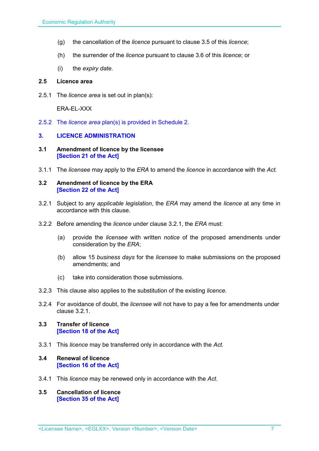- (g) the cancellation of the *licence* pursuant to clause 3.5 of this *licence*;
- (h) the surrender of the *licence* pursuant to clause 3.6 of this *licence*; or
- (i) the *expiry date*.

#### **2.5 Licence area**

2.5.1 The *licence area* is set out in plan(s):

ERA-EL-XXX

2.5.2 The *licence area* plan(s) is provided in Schedule 2.

#### **3. LICENCE ADMINISTRATION**

- **3.1 Amendment of licence by the licensee [Section 21 of the Act]**
- 3.1.1 The *licensee* may apply to the *ERA* to amend the *licence* in accordance with the *Act.*

#### **3.2 Amendment of licence by the ERA [Section 22 of the Act]**

- 3.2.1 Subject to any *applicable legislation*, the *ERA* may amend the *licence* at any time in accordance with this clause.
- 3.2.2 Before amending the *licence* under clause 3.2.1, the *ERA* must:
	- (a) provide the *licensee* with written *notice* of the proposed amendments under consideration by the *ERA*;
	- (b) allow 15 *business days* for the *licensee* to make submissions on the proposed amendments; and
	- (c) take into consideration those submissions.
- 3.2.3 This clause also applies to the substitution of the existing *licence*.
- 3.2.4 For avoidance of doubt, the *licensee* will not have to pay a fee for amendments under clause 3.2.1.

#### **3.3 Transfer of licence [Section 18 of the Act]**

- 3.3.1 This *licence* may be transferred only in accordance with the *Act.*
- **3.4 Renewal of licence [Section 16 of the Act]**
- 3.4.1 This *licence* may be renewed only in accordance with the *Act*.
- **3.5 Cancellation of licence [Section 35 of the Act]**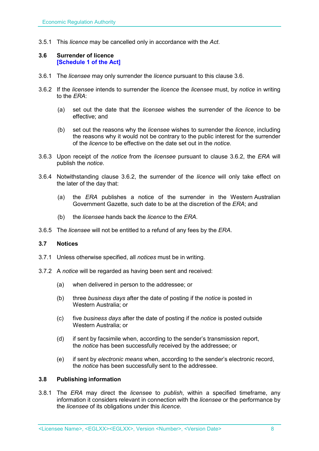3.5.1 This *licence* may be cancelled only in accordance with the *Act*.

#### **3.6 Surrender of licence [Schedule 1 of the Act]**

- 3.6.1 The *licensee* may only surrender the *licence* pursuant to this clause 3.6.
- 3.6.2 If the *licensee* intends to surrender the *licence* the *licensee* must, by *notice* in writing to the *ERA*:
	- (a) set out the date that the *licensee* wishes the surrender of the *licence* to be effective; and
	- (b) set out the reasons why the *licensee* wishes to surrender the *licence*, including the reasons why it would not be contrary to the public interest for the surrender of the *licence* to be effective on the date set out in the *notice*.
- 3.6.3 Upon receipt of the *notice* from the *licensee* pursuant to clause 3.6.2, the *ERA* will publish the *notice*.
- 3.6.4 Notwithstanding clause 3.6.2, the surrender of the *licence* will only take effect on the later of the day that:
	- (a) the *ERA* publishes a notice of the surrender in the Western Australian Government Gazette, such date to be at the discretion of the *ERA*; and
	- (b) the *licensee* hands back the *licence* to the *ERA*.
- 3.6.5 The *licensee* will not be entitled to a refund of any fees by the *ERA*.

#### **3.7 Notices**

- 3.7.1 Unless otherwise specified, all *notices* must be in writing.
- 3.7.2 A *notice* will be regarded as having been sent and received:
	- (a) when delivered in person to the addressee; or
	- (b) three *business days* after the date of posting if the *notice* is posted in Western Australia; or
	- (c) five *business days* after the date of posting if the *notice* is posted outside Western Australia; or
	- (d) if sent by facsimile when, according to the sender's transmission report, the *notice* has been successfully received by the addressee; or
	- (e) if sent by *electronic means* when, according to the sender's electronic record, the *notice* has been successfully sent to the addressee.

#### **3.8 Publishing information**

3.8.1 The *ERA* may direct the *licensee* to *publish*, within a specified timeframe, any information it considers relevant in connection with the *licensee* or the performance by the *licensee* of its obligations under this *licence*.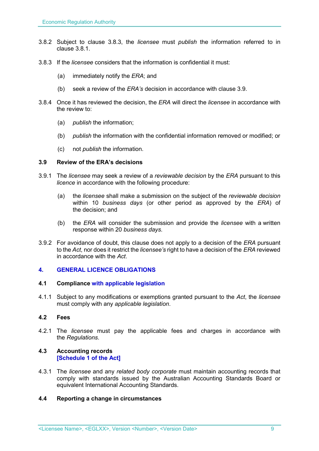- 3.8.2 Subject to clause 3.8.3, the *licensee* must *publish* the information referred to in clause 3.8.1.
- 3.8.3 If the *licensee* considers that the information is confidential it must:
	- (a) immediately notify the *ERA*; and
	- (b) seek a review of the *ERA's* decision in accordance with clause 3.9.
- 3.8.4 Once it has reviewed the decision, the *ERA* will direct the *licensee* in accordance with the review to:
	- (a) *publish* the information;
	- (b) *publish* the information with the confidential information removed or modified; or
	- (c) not *publish* the information.

#### **3.9 Review of the ERA's decisions**

- 3.9.1 The *licensee* may seek a review of a *reviewable decision* by the *ERA* pursuant to this *licence* in accordance with the following procedure:
	- (a) the *licensee* shall make a submission on the subject of the *reviewable decision* within 10 *business days* (or other period as approved by the *ERA*) of the decision; and
	- (b) the *ERA* will consider the submission and provide the *licensee* with a written response within 20 *business days*.
- 3.9.2 For avoidance of doubt, this clause does not apply to a decision of the *ERA* pursuant to the *Act*, nor does it restrict the *licensee's* right to have a decision of the *ERA* reviewed in accordance with the *Act*.

#### **4. GENERAL LICENCE OBLIGATIONS**

#### **4.1 Compliance with applicable legislation**

4.1.1 Subject to any modifications or exemptions granted pursuant to the *Act*, the *licensee* must comply with any *applicable legislation*.

#### **4.2 Fees**

4.2.1 The *licensee* must pay the applicable fees and charges in accordance with the *Regulations*.

#### **4.3 Accounting records [Schedule 1 of the Act]**

4.3.1 The *licensee* and any *related body corporate* must maintain accounting records that comply with standards issued by the Australian Accounting Standards Board or equivalent International Accounting Standards.

#### **4.4 Reporting a change in circumstances**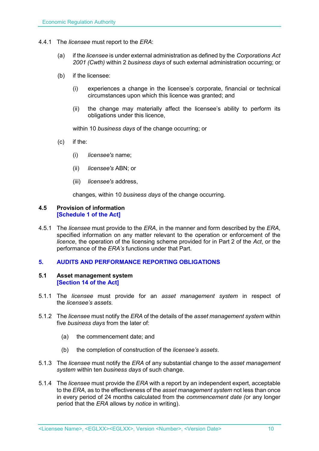- 4.4.1 The *licensee* must report to the *ERA*:
	- (a) if the *licensee* is under external administration as defined by the *Corporations Act 2001 (Cwth)* within 2 *business days* of such external administration occurring; or
	- (b) if the licensee:
		- (i) experiences a change in the licensee's corporate, financial or technical circumstances upon which this licence was granted; and
		- (ii) the change may materially affect the licensee's ability to perform its obligations under this licence,

within 10 *business days* of the change occurring; or

- (c) if the:
	- (i) *licensee's* name;
	- (ii) *licensee's* ABN; or
	- (iii) *licensee's* address,

changes, within 10 *business days* of the change occurring.

#### **4.5 Provision of information [Schedule 1 of the Act]**

4.5.1 The *licensee* must provide to the *ERA*, in the manner and form described by the *ERA*, specified information on any matter relevant to the operation or enforcement of the *licence*, the operation of the licensing scheme provided for in Part 2 of the *Act*, or the performance of the *ERA's* functions under that Part.

#### **5. AUDITS AND PERFORMANCE REPORTING OBLIGATIONS**

#### **5.1 Asset management system [Section 14 of the Act]**

- 5.1.1 The *licensee* must provide for an *asset management system* in respect of the *licensee's assets*.
- 5.1.2 The *licensee* must notify the *ERA* of the details of the *asset management system* within five *business days* from the later of:
	- (a) the commencement date; and
	- (b) the completion of construction of the *licensee's assets*.
- 5.1.3 The *licensee* must notify the *ERA* of any substantial change to the *asset management system* within ten *business days* of such change.
- 5.1.4 The *licensee* must provide the *ERA* with a report by an independent expert, acceptable to the *ERA*, as to the effectiveness of the *asset management system* not less than once in every period of 24 months calculated from the *commencement date (*or any longer period that the *ERA* allows by *notice* in writing).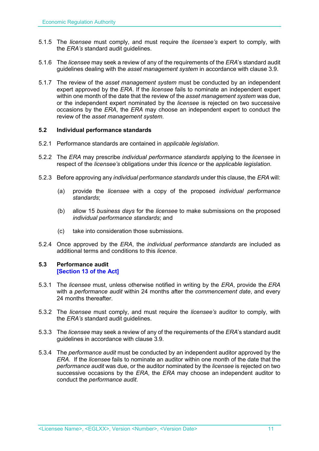- 5.1.5 The *licensee* must comply, and must require the *licensee's* expert to comply, with the *ERA's* standard audit guidelines.
- 5.1.6 The *licensee* may seek a review of any of the requirements of the *ERA*'s standard audit guidelines dealing with the *asset management system* in accordance with clause 3.9.
- 5.1.7 The review of the *asset management system* must be conducted by an independent expert approved by the *ERA*. If the *licensee* fails to nominate an independent expert within one month of the date that the review of the *asset management system* was due, or the independent expert nominated by the *licensee* is rejected on two successive occasions by the *ERA*, the *ERA* may choose an independent expert to conduct the review of the *asset management system*.

#### **5.2 Individual performance standards**

- 5.2.1 Performance standards are contained in *applicable legislation*.
- 5.2.2 The *ERA* may prescribe *individual performance standards* applying to the *licensee* in respect of the *licensee's* obligations under this *licence* or the *applicable legislation*.
- 5.2.3 Before approving any *individual performance standards* under this clause, the *ERA* will:
	- (a) provide the *licensee* with a copy of the proposed *individual performance standards*;
	- (b) allow 15 *business days* for the *licensee* to make submissions on the proposed *individual performance standards*; and
	- (c) take into consideration those submissions.
- 5.2.4 Once approved by the *ERA*, the *individual performance standards* are included as additional terms and conditions to this *licence*.

#### **5.3 Performance audit [Section 13 of the Act]**

- 5.3.1 The *licensee* must, unless otherwise notified in writing by the *ERA*, provide the *ERA* with a *performance audit* within 24 months after the *commencement date*, and every 24 months thereafter
- 5.3.2 The *licensee* must comply, and must require the *licensee's* auditor to comply, with the *ERA's* standard audit guidelines.
- 5.3.3 The *licensee* may seek a review of any of the requirements of the *ERA*'s standard audit guidelines in accordance with clause 3.9.
- 5.3.4 The *performance audit* must be conducted by an independent auditor approved by the *ERA*. If the *licensee* fails to nominate an auditor within one month of the date that the *performance audit* was due, or the auditor nominated by the *licensee* is rejected on two successive occasions by the *ERA*, the *ERA* may choose an independent auditor to conduct the *performance audit*.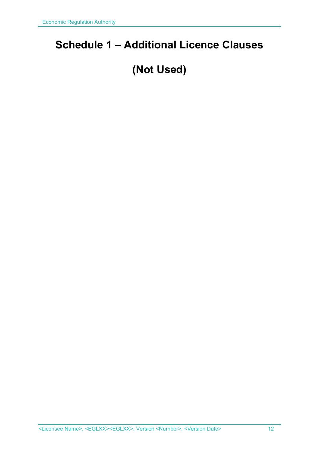## **Schedule 1 – Additional Licence Clauses**

# **(Not Used)**

<Licensee Name>, <EGLXX><EGLXX>, Version <Number>, <Version Date> 12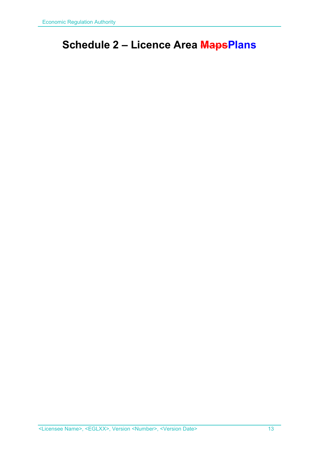## **Schedule 2 – Licence Area MapsPlans**